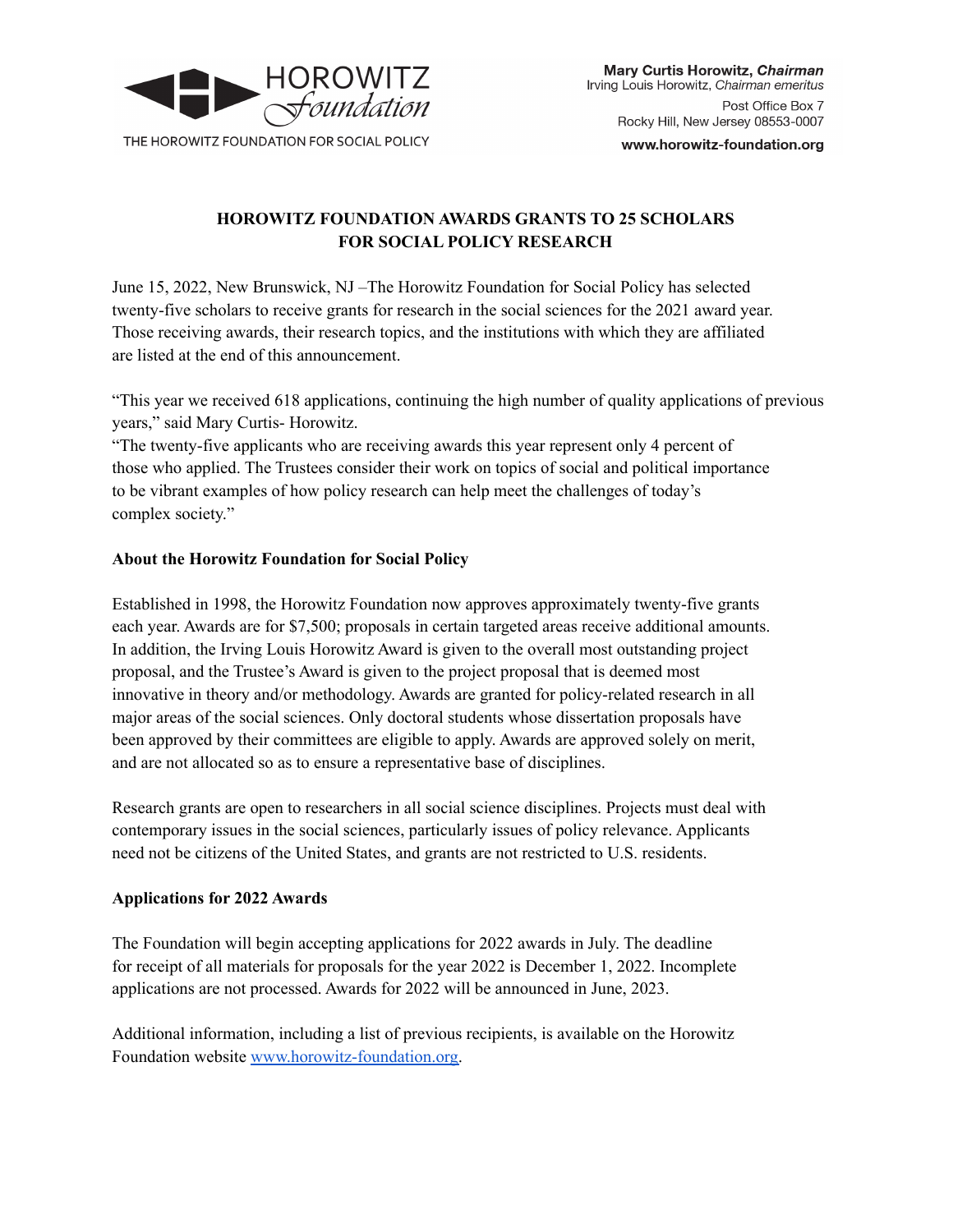

www.horowitz-foundation.org

# **HOROWITZ FOUNDATION AWARDS GRANTS TO 25 SCHOLARS FOR SOCIAL POLICY RESEARCH**

June 15, 2022, New Brunswick, NJ –The Horowitz Foundation for Social Policy has selected twenty-five scholars to receive grants for research in the social sciences for the 2021 award year. Those receiving awards, their research topics, and the institutions with which they are affiliated are listed at the end of this announcement.

"This year we received 618 applications, continuing the high number of quality applications of previous years," said Mary Curtis- Horowitz.

"The twenty-five applicants who are receiving awards this year represent only 4 percent of those who applied. The Trustees consider their work on topics of social and political importance to be vibrant examples of how policy research can help meet the challenges of today's complex society."

# **About the Horowitz Foundation for Social Policy**

Established in 1998, the Horowitz Foundation now approves approximately twenty-five grants each year. Awards are for \$7,500; proposals in certain targeted areas receive additional amounts. In addition, the Irving Louis Horowitz Award is given to the overall most outstanding project proposal, and the Trustee's Award is given to the project proposal that is deemed most innovative in theory and/or methodology. Awards are granted for policy-related research in all major areas of the social sciences. Only doctoral students whose dissertation proposals have been approved by their committees are eligible to apply. Awards are approved solely on merit, and are not allocated so as to ensure a representative base of disciplines.

Research grants are open to researchers in all social science disciplines. Projects must deal with contemporary issues in the social sciences, particularly issues of policy relevance. Applicants need not be citizens of the United States, and grants are not restricted to U.S. residents.

# **Applications for 2022 Awards**

The Foundation will begin accepting applications for 2022 awards in July. The deadline for receipt of all materials for proposals for the year 2022 is December 1, 2022. Incomplete applications are not processed. Awards for 2022 will be announced in June, 2023.

Additional information, including a list of previous recipients, is available on the Horowitz Foundation website [www.horowitz-foundation.org.](http://www.horowitz-foundation.org)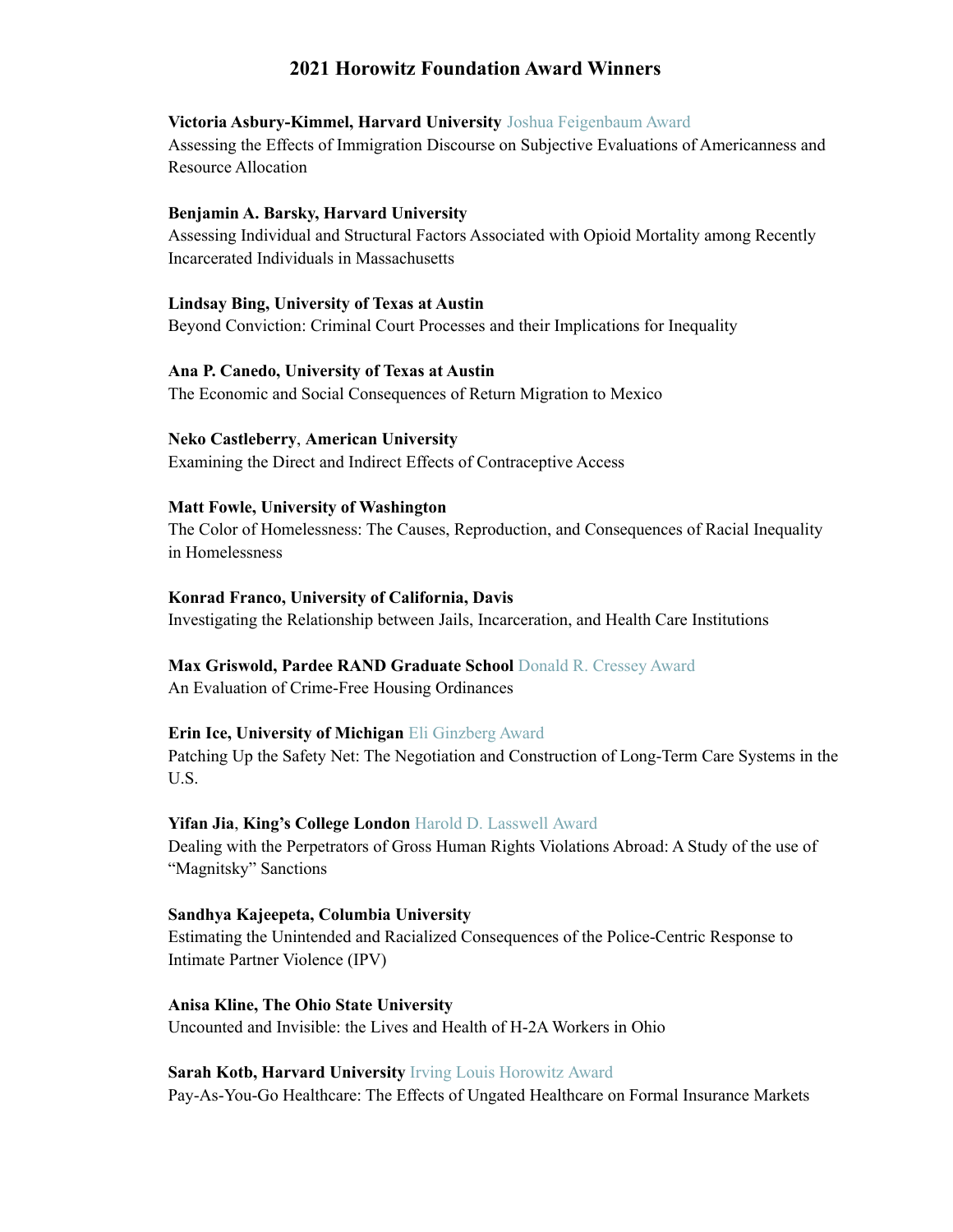# **2021 Horowitz Foundation Award Winners**

## **Victoria Asbury-Kimmel, Harvard University** Joshua Feigenbaum Award

Assessing the Effects of Immigration Discourse on Subjective Evaluations of Americanness and Resource Allocation

# **Benjamin A. Barsky, Harvard University**

Assessing Individual and Structural Factors Associated with Opioid Mortality among Recently Incarcerated Individuals in Massachusetts

# **Lindsay Bing, University of Texas at Austin**

Beyond Conviction: Criminal Court Processes and their Implications for Inequality

## **Ana P. Canedo, University of Texas at Austin**

The Economic and Social Consequences of Return Migration to Mexico

## **Neko Castleberry**, **American University**

Examining the Direct and Indirect Effects of Contraceptive Access

## **Matt Fowle, University of Washington**

The Color of Homelessness: The Causes, Reproduction, and Consequences of Racial Inequality in Homelessness

## **Konrad Franco, University of California, Davis**

Investigating the Relationship between Jails, Incarceration, and Health Care Institutions

# **Max Griswold, Pardee RAND Graduate School** Donald R. Cressey Award

An Evaluation of Crime-Free Housing Ordinances

# **Erin Ice, University of Michigan** Eli Ginzberg Award

Patching Up the Safety Net: The Negotiation and Construction of Long-Term Care Systems in the U.S.

# **Yifan Jia**, **King's College London** Harold D. Lasswell Award

Dealing with the Perpetrators of Gross Human Rights Violations Abroad: A Study of the use of "Magnitsky" Sanctions

## **Sandhya Kajeepeta, Columbia University**

Estimating the Unintended and Racialized Consequences of the Police-Centric Response to Intimate Partner Violence (IPV)

# **Anisa Kline, The Ohio State University**

Uncounted and Invisible: the Lives and Health of H-2A Workers in Ohio

#### **Sarah Kotb, Harvard University** Irving Louis Horowitz Award

Pay-As-You-Go Healthcare: The Effects of Ungated Healthcare on Formal Insurance Markets